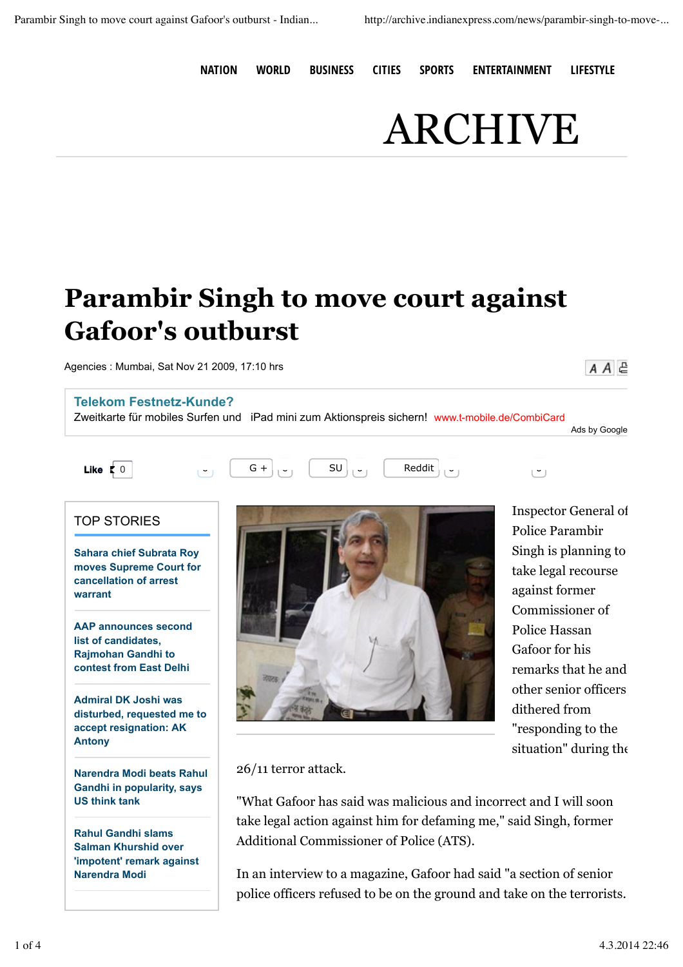**NATION WORLD BUSINESS CITIES SPORTS ENTERTAINMENT LIFESTYLE**

## ARCHIVE

## **Parambir Singh to move court against Gafoor's outburst**

Agencies : Mumbai, Sat Nov 21 2009, 17:10 hrs

## **Telekom Festnetz-Kunde?**

Zweitkarte für mobiles Surfen und iPad mini zum Aktionspreis sichern! www.t-mobile.de/CombiCard

Ads by Google



 $A A \in$